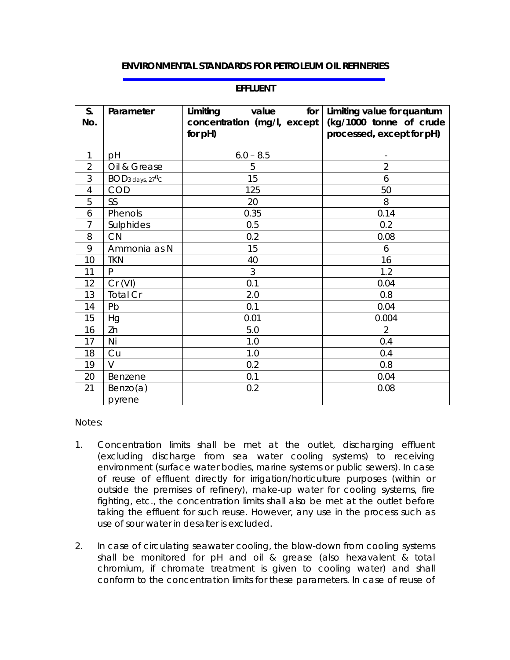## **ENVIRONMENTAL STANDARDS FOR PETROLEUM OIL REFINERIES**

| S.             | Parameter                                | for<br>Limiting<br>value    | Limiting value for quantum |
|----------------|------------------------------------------|-----------------------------|----------------------------|
| No.            |                                          | concentration (mg/l, except | (kg/1000 tonne of crude    |
|                |                                          | for pH)                     | processed, except for pH)  |
|                |                                          |                             |                            |
| 1              | pH                                       | $6.0 - 8.5$                 |                            |
| $\overline{2}$ | Oil & Grease                             | 5                           | $\overline{2}$             |
| 3              | BOD <sub>3</sub> days, 27 <sup>0</sup> C | 15                          | 6                          |
| 4              | <b>COD</b>                               | 125                         | 50                         |
| 5              | SS                                       | 20                          | 8                          |
| 6              | Phenols                                  | 0.35                        | 0.14                       |
| $\overline{7}$ | Sulphides                                | 0.5                         | 0.2                        |
| 8              | CN                                       | 0.2                         | 0.08                       |
| 9              | Ammonia as N                             | 15                          | 6                          |
| 10             | <b>TKN</b>                               | 40                          | 16                         |
| 11             | P                                        | 3                           | 1.2                        |
| 12             | Cr (VI)                                  | 0.1                         | 0.04                       |
| 13             | <b>Total Cr</b>                          | 2.0                         | 0.8                        |
| 14             | Pb                                       | 0.1                         | 0.04                       |
| 15             | Hg                                       | 0.01                        | 0.004                      |
| 16             | Zn                                       | 5.0                         | $\overline{2}$             |
| 17             | Ni                                       | 1.0                         | 0.4                        |
| 18             | Cu                                       | 1.0                         | 0.4                        |
| 19             | $\vee$                                   | 0.2                         | 0.8                        |
| 20             | Benzene                                  | 0.1                         | 0.04                       |
| 21             | Benzo(a)                                 | 0.2                         | 0.08                       |
|                | pyrene                                   |                             |                            |

## **EFFLUENT**

Notes:

- 1. Concentration limits shall be met at the outlet, discharging effluent (excluding discharge from sea water cooling systems) to receiving environment (surface water bodies, marine systems or public sewers). In case of reuse of effluent directly for irrigation/horticulture purposes (within or outside the premises of refinery), make-up water for cooling systems, fire fighting, etc., the concentration limits shall also be met at the outlet before taking the effluent for such reuse. However, any use in the process such as use of sour water in desalter is excluded.
- 2. In case of circulating seawater cooling, the blow-down from cooling systems shall be monitored for pH and oil & grease (also hexavalent & total chromium, if chromate treatment is given to cooling water) and shall conform to the concentration limits for these parameters. In case of reuse of